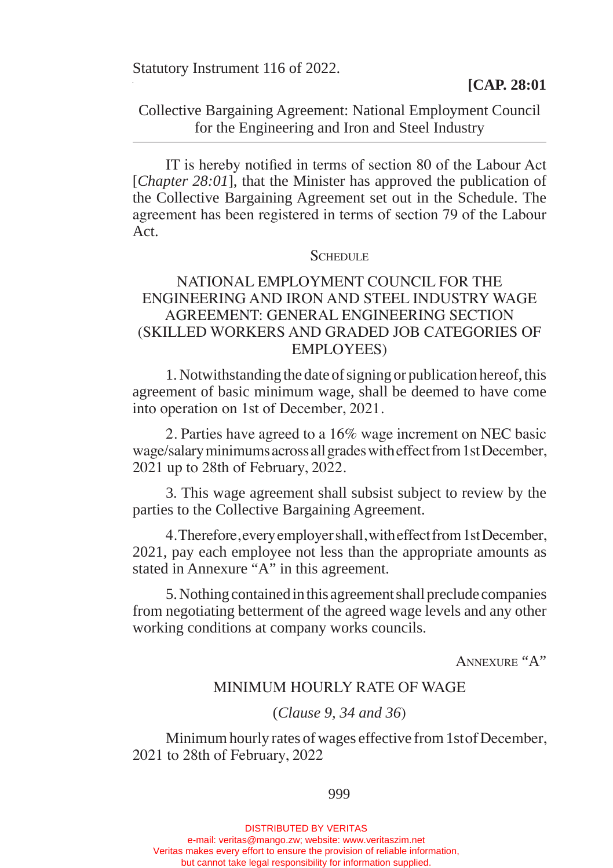Statutory Instrument 116 of 2022.

## Collective Bargaining Agreement: National Employment Council for the Engineering and Iron and Steel Industry

 IT is hereby notified in terms of section 80 of the Labour Act [*Chapter 28:01*], that the Minister has approved the publication of the Collective Bargaining Agreement set out in the Schedule. The agreement has been registered in terms of section 79 of the Labour Act.

### **SCHEDULE**

# NATIONAL EMPLOYMENT COUNCIL FOR THE ENGINEERING AND IRON AND STEEL INDUSTRY WAGE AGREEMENT: GENERAL ENGINEERING SECTION (SKILLED WORKERS AND GRADED JOB CATEGORIES OF EMPLOYEES)

1. Notwithstanding the date of signing or publication hereof, this agreement of basic minimum wage, shall be deemed to have come into operation on 1st of December, 2021.

2. Parties have agreed to a 16% wage increment on NEC basic wage/salary minimums across all grades with effect from 1st December, 2021 up to 28th of February, 2022.

3. This wage agreement shall subsist subject to review by the parties to the Collective Bargaining Agreement.

4.Therefore,everyemployershall,witheffectfrom1stDecember, 2021, pay each employee not less than the appropriate amounts as stated in Annexure "A" in this agreement.

5. Nothing contained in this agreement shall preclude companies from negotiating betterment of the agreed wage levels and any other working conditions at company works councils.

Annexure "A"

### MINIMUM HOURLY RATE OF WAGE

### (*Clause 9, 34 and 36*)

Minimum hourly rates of wages effective from 1stof December, 2021 to 28th of February, 2022

999

DISTRIBUTED BY VERITAS e-mail: veritas@mango.zw; website: www.veritaszim.net Veritas makes every effort to ensure the provision of reliable information, but cannot take legal responsibility for information supplied.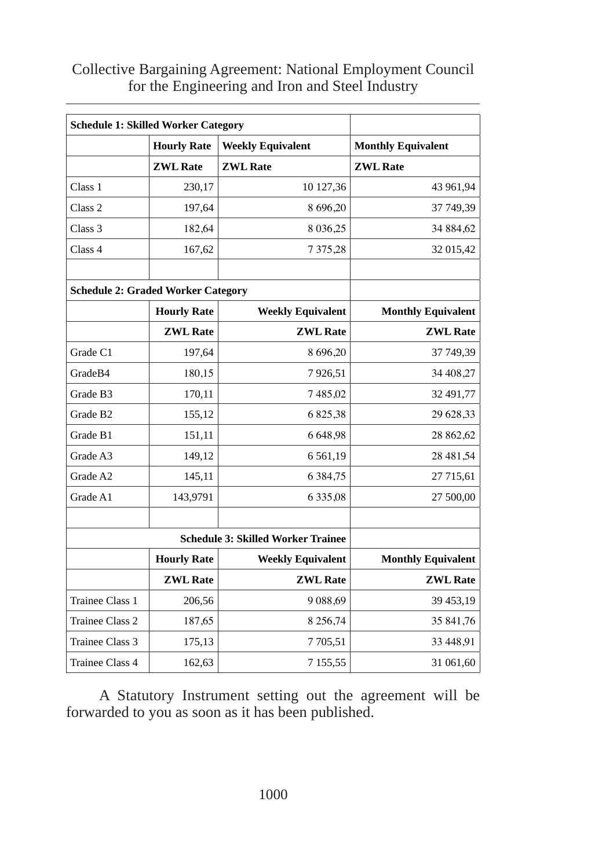| <b>Schedule 1: Skilled Worker Category</b> |                    |                          |                           |
|--------------------------------------------|--------------------|--------------------------|---------------------------|
|                                            | <b>Hourly Rate</b> | <b>Weekly Equivalent</b> | <b>Monthly Equivalent</b> |
|                                            | <b>ZWL Rate</b>    | <b>ZWL Rate</b>          | <b>ZWL Rate</b>           |
| Class 1                                    | 230,17             | 10 127,36                | 43 961,94                 |
| Class <sub>2</sub>                         | 197,64             | 8 696,20                 | 37 749,39                 |
| Class 3                                    | 182,64             | 8 0 3 6 , 25             | 34 884,62                 |
| Class 4                                    | 167,62             | 7 3 7 5 , 28             | 32 015,42                 |
| <b>Schedule 2: Graded Worker Category</b>  |                    |                          |                           |
|                                            | <b>Hourly Rate</b> | <b>Weekly Equivalent</b> | <b>Monthly Equivalent</b> |
|                                            | <b>ZWL Rate</b>    | <b>ZWL Rate</b>          | <b>ZWL Rate</b>           |
| Grade C1                                   | 197,64             | 8 696,20                 | 37 749,39                 |
| GradeB4                                    | 180,15             | 7926,51                  | 34 408.27                 |
| Grade B3                                   | 170,11             | 7485,02                  | 32 491,77                 |
| Grade B <sub>2</sub>                       | 155,12             | 6825,38                  | 29 628,33                 |
| Grade B1                                   | 151,11             | 6 6 48 98                | 28 862,62                 |
| Grade A3                                   | 149,12             | 6561,19                  | 28 481,54                 |
| Grade A2                                   | 145,11             | 6 3 8 4 7 5              | 27 715,61                 |
| Grade A1                                   | 143,9791           | 6 3 3 5 0 8              | 27 500,00                 |
|                                            |                    |                          |                           |
| <b>Schedule 3: Skilled Worker Trainee</b>  |                    |                          |                           |
|                                            | <b>Hourly Rate</b> | <b>Weekly Equivalent</b> | <b>Monthly Equivalent</b> |
|                                            | <b>ZWL Rate</b>    | <b>ZWL Rate</b>          | <b>ZWL Rate</b>           |
| Trainee Class 1                            | 206,56             | 9 0 8 8 , 6 9            | 39 453,19                 |
| Trainee Class 2                            | 187,65             | 8 2 5 6 7 4              | 35 841,76                 |
| Trainee Class 3                            | 175,13             | 7 7 0 5 5 1              | 33 448,91                 |
| <b>Trainee Class 4</b>                     | 162,63             | 7 1 5 5 , 5 5            | 31 061,60                 |

Collective Bargaining Agreement: National Employment Council for the Engineering and Iron and Steel Industry

A Statutory Instrument setting out the agreement will be forwarded to you as soon as it has been published.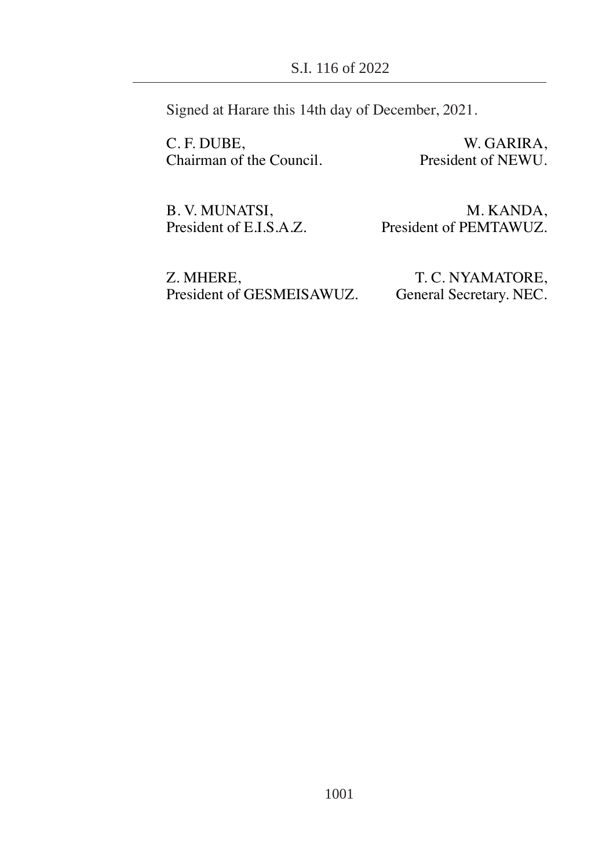Signed at Harare this 14th day of December, 2021.

C. F. DUBE,<br>
W. GARIRA,<br>
Chairman of the Council.<br>
President of NEWU. Chairman of the Council.

B. V. MUNATSI, M. KANDA,<br>President of E.I.S.A.Z. President of PEMTAWUZ. President of PEMTAWUZ.

Z. MHERE, T. C. NYAMATORE,<br>President of GESMEISAWUZ. General Secretary. NEC. President of GESMEISAWUZ.